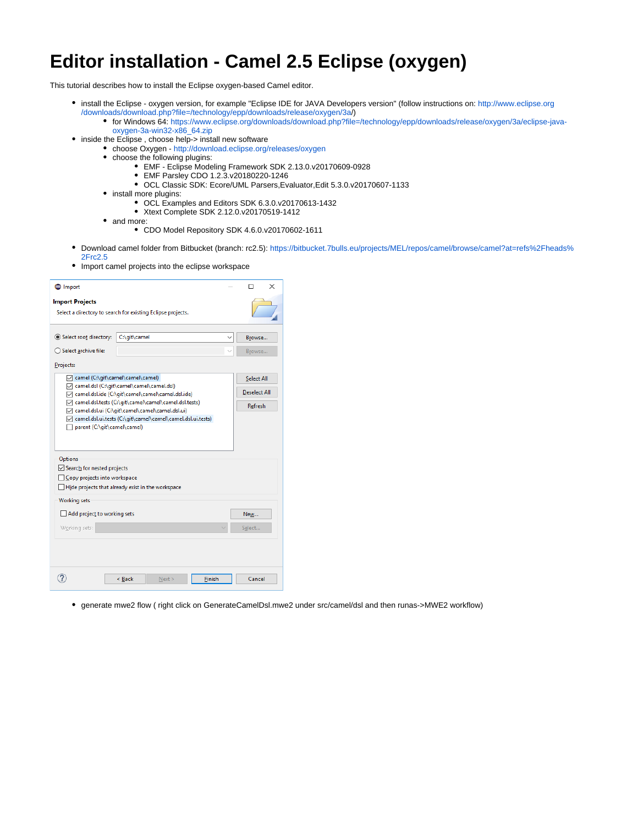## **Editor installation - Camel 2.5 Eclipse (oxygen)**

This tutorial describes how to install the Eclipse oxygen-based Camel editor.

- install the Eclipse oxygen version, for example "Eclipse IDE for JAVA Developers version" (follow instructions on: [http://www.eclipse.org](http://www.eclipse.org/downloads/download.php?file=/technology/epp/downloads/release/oxygen/3a/eclipse-java-oxygen-3a-linux-gtk-x86_64.tar.gz) [/downloads/download.php?file=/technology/epp/downloads/release/oxygen/3a](http://www.eclipse.org/downloads/download.php?file=/technology/epp/downloads/release/oxygen/3a/eclipse-java-oxygen-3a-linux-gtk-x86_64.tar.gz)/)
	- for Windows 64: [https://www.eclipse.org/downloads/download.php?file=/technology/epp/downloads/release/oxygen/3a/eclipse-java](https://www.eclipse.org/downloads/download.php?file=/technology/epp/downloads/release/oxygen/3a/eclipse-java-oxygen-3a-win32-x86_64.zip)[oxygen-3a-win32-x86\\_64.zip](https://www.eclipse.org/downloads/download.php?file=/technology/epp/downloads/release/oxygen/3a/eclipse-java-oxygen-3a-win32-x86_64.zip)
- inside the Eclipse, choose help-> install new software
	- choose Oxygen <http://download.eclipse.org/releases/oxygen>
		- choose the following plugins:
			- EMF Eclipse Modeling Framework SDK 2.13.0.v20170609-0928
			- EMF Parsley CDO 1.2.3.v20180220-1246
			- OCL Classic SDK: Ecore/UML Parsers,Evaluator,Edit 5.3.0.v20170607-1133
		- install more plugins:
			- OCL Examples and Editors SDK 6.3.0.v20170613-1432
			- Xtext Complete SDK 2.12.0.v20170519-1412
		- and more:
			- CDO Model Repository SDK 4.6.0.v20170602-1611
- Download camel folder from Bitbucket (branch: rc2.5): [https://bitbucket.7bulls.eu/projects/MEL/repos/camel/browse/camel?at=refs%2Fheads%](https://bitbucket.7bulls.eu/projects/MEL/repos/camel/browse/camel?at=refs%2Fheads%2Frc2.5) [2Frc2.5](https://bitbucket.7bulls.eu/projects/MEL/repos/camel/browse/camel?at=refs%2Fheads%2Frc2.5)
- Import camel projects into the eclipse workspace

| nport                                                                                                                                                                                                                                                                                                                                             |                                                   |  | $\times$<br>п                                       |  |
|---------------------------------------------------------------------------------------------------------------------------------------------------------------------------------------------------------------------------------------------------------------------------------------------------------------------------------------------------|---------------------------------------------------|--|-----------------------------------------------------|--|
| <b>Import Projects</b><br>Select a directory to search for existing Eclipse projects.                                                                                                                                                                                                                                                             |                                                   |  |                                                     |  |
| Select root directory:<br>○ Select archive file:<br>Projects:                                                                                                                                                                                                                                                                                     | C:\git\camel                                      |  | Browse<br>Browse                                    |  |
| camel (C:\git\camel\camel\camel)<br>√ camel.dsl (C:\git\camel\camel\camel.dsl)<br>√ camel.dsl.ide (C:\git\camel\camel\camel.dsl.ide)<br>√ camel.dsl.tests (C:\git\camel\camel\camel.dsl.tests)<br>√ camel.dsl.ui (C:\git\camel\camel\camel.dsl.ui)<br>√ camel.dsl.ui.tests (C:\git\camel\camel\camel.dsl.ui.tests)<br>parent (C:\git\camel\camel) |                                                   |  | <b>Select All</b><br><b>Deselect All</b><br>Refresh |  |
| Options<br>Search for nested projects<br>Copy projects into workspace<br><b>Working sets</b><br>Add project to working sets<br>Working sets:                                                                                                                                                                                                      | Hide projects that already exist in the workspace |  | New<br>Select                                       |  |
|                                                                                                                                                                                                                                                                                                                                                   | Finish<br>< Back<br>Next                          |  | Cancel                                              |  |

generate mwe2 flow ( right click on GenerateCamelDsl.mwe2 under src/camel/dsl and then runas->MWE2 workflow)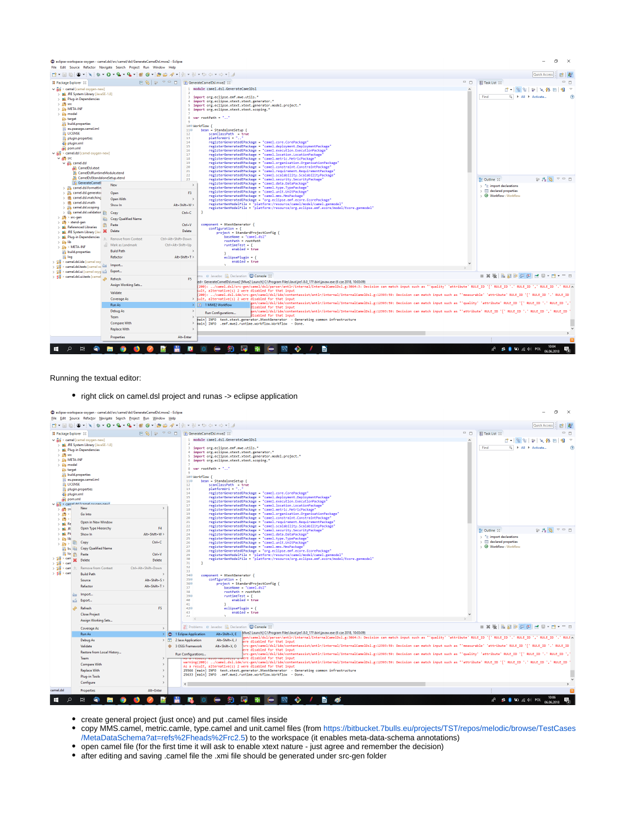| eclipse-workspace-oxygen - camel.dsl/src/camel/dsl/GenerateCamelDsl.mwe2 - Eclipse<br>File Edit Source Refactor Navigate Search Project Run Window Help                                                                                                                                                                                                                                                                                                                                                                                                                                                                                                                                                                                                                                                                                                                                                                                                                                                                                                                                                                                                                                                                                                                                                  |                                                                                                                                                                                                                                                    |                                                                                                                                                                                                                                                                                                                                                                                                                                                                                                                                                                                                                                                                                                                                                                                                                                                                                                                                                                                                                                                                                                                                                                                                                                                                                                                                                                                                                                                                                                                                                                                                                                                                                                                                                      |                                                                                                                                                                                                                                       |
|----------------------------------------------------------------------------------------------------------------------------------------------------------------------------------------------------------------------------------------------------------------------------------------------------------------------------------------------------------------------------------------------------------------------------------------------------------------------------------------------------------------------------------------------------------------------------------------------------------------------------------------------------------------------------------------------------------------------------------------------------------------------------------------------------------------------------------------------------------------------------------------------------------------------------------------------------------------------------------------------------------------------------------------------------------------------------------------------------------------------------------------------------------------------------------------------------------------------------------------------------------------------------------------------------------|----------------------------------------------------------------------------------------------------------------------------------------------------------------------------------------------------------------------------------------------------|------------------------------------------------------------------------------------------------------------------------------------------------------------------------------------------------------------------------------------------------------------------------------------------------------------------------------------------------------------------------------------------------------------------------------------------------------------------------------------------------------------------------------------------------------------------------------------------------------------------------------------------------------------------------------------------------------------------------------------------------------------------------------------------------------------------------------------------------------------------------------------------------------------------------------------------------------------------------------------------------------------------------------------------------------------------------------------------------------------------------------------------------------------------------------------------------------------------------------------------------------------------------------------------------------------------------------------------------------------------------------------------------------------------------------------------------------------------------------------------------------------------------------------------------------------------------------------------------------------------------------------------------------------------------------------------------------------------------------------------------------|---------------------------------------------------------------------------------------------------------------------------------------------------------------------------------------------------------------------------------------|
|                                                                                                                                                                                                                                                                                                                                                                                                                                                                                                                                                                                                                                                                                                                                                                                                                                                                                                                                                                                                                                                                                                                                                                                                                                                                                                          |                                                                                                                                                                                                                                                    |                                                                                                                                                                                                                                                                                                                                                                                                                                                                                                                                                                                                                                                                                                                                                                                                                                                                                                                                                                                                                                                                                                                                                                                                                                                                                                                                                                                                                                                                                                                                                                                                                                                                                                                                                      | Quick Access                                                                                                                                                                                                                          |
|                                                                                                                                                                                                                                                                                                                                                                                                                                                                                                                                                                                                                                                                                                                                                                                                                                                                                                                                                                                                                                                                                                                                                                                                                                                                                                          | 日 8   1 マ ロ   B GenerateCameIDsI.mwe2 33                                                                                                                                                                                                           | $ -$                                                                                                                                                                                                                                                                                                                                                                                                                                                                                                                                                                                                                                                                                                                                                                                                                                                                                                                                                                                                                                                                                                                                                                                                                                                                                                                                                                                                                                                                                                                                                                                                                                                                                                                                                 | $= 5$<br>Task List 23                                                                                                                                                                                                                 |
| Package Explorer 23<br>$\vee$ $\frac{1}{100}$ > camel [camel oxygen-new]<br>> M. JRE System Library [JavaSE-1.8]<br>> M Plug-in Dependencies<br>$> 25$ src<br>> Stre META-INF<br>$\frac{1}{2}$ model<br><b>B</b> target<br>build.properties<br>eu.paasage.camel.iml<br><b>LICENSE</b><br>plugin.properties<br>plugin.xml<br>pom.xml<br>v 88 > camel.dsl [camel oxygen-new]<br>$\vee$ $\frac{100}{1000}$ src<br>$\vee$ $\frac{1}{129}$ camel.dsl<br>CamelDsl.xtext<br><b>R</b> CamelDslRuntimeModule.xtend<br>CamelDsIStandaloneSetup.xtend<br>GenerateCamell<br>New<br>> El camel.dsl.formattin<br>> b camel.dsl.generator<br>Open<br>> <b>Hill</b> camel.dsl.matching<br>Open With<br>$\rightarrow$ $\frac{1}{2}$ camel.dsl.math<br>Show In<br>> amel.dsl.scoping<br>> El camel.dsl.validation<br>Copy<br>$>$ $\frac{m}{2}$ > src-gen<br><b>Copy Qualified Name</b><br>$>$ $\frac{160}{100}$ > xtend-gen<br>Paste<br>> M Referenced Libraries<br><b>Delete</b><br>> M JRE System Library [Jav. 36<br>> M Plug-in Dependencies<br><b>Remove from Context</b><br>$\frac{1}{2}$ $\frac{1}{2}$ $\frac{1}{2}$ $\frac{1}{2}$ $\frac{1}{2}$<br>Mark as Landmark<br>$>$ $\frac{1}{2\sqrt{3}}$ > META-INF<br><b>Build Path</b><br>build.properties<br><b>S</b> log<br>Refactor<br>음식 > camel.dsl.ide [camel oxy] | $\circ$<br>$11\odot$<br>12<br>13<br>14<br>15<br>16<br>17<br>18<br>19<br>20<br>21<br>22<br>23<br>$\rightarrow$<br>F3<br>b.<br>Alt+Shift+W><br>$Ctrl + C$<br>$Ctrl + V$<br><b>Delete</b><br>Ctrl+Alt+Shift+Down<br>Ctrl+Alt+Shift+Up<br>Alt+Shift+T> | module camel.dsl.GenerateCamelDsl<br>3 import org.eclipse.emf.mwe.utils.*<br>4 import org.eclipse.xtext.xtext.generator.*<br>5 import org.eclipse.xtext.xtext.generator.model.project.*<br>6 import org.eclipse.xtext.xtext.scoping.*<br>8 var rootPath = ""<br>100 Workflow {<br>$bean = StandardOneSetup$ {<br>scanClassPath = true<br>platformUri = ""<br>registerGeneratedEPackage = "camel.core.CorePackage"<br>registerGeneratedEPackage = "camel.deployment.DeploymentPackage"<br>registerGeneratedEPackage = "camel.execution.ExecutionPackage"<br>registerGeneratedEPackage = "camel.location.LocationPackage"<br>registerGeneratedEPackage = "camel.metric.MetricPackage"<br>registerGeneratedEPackage = "camel.organisation.OrganisationPackage"<br>registerGeneratedEPackage = "camel.constraint.ConstraintPackage"<br>registerGeneratedEPackage = "camel.requirement.RequirementPackage"<br>registerGeneratedEPackage - "camel.scalability.ScalabilityPackage"<br>registerGeneratedEPackage = "camel.security.SecurityPackage"<br>registerGeneratedEPackage - "camel.data.DataPackage"<br>registerGeneratedEPackage = "camel.type.TypePackage"<br>registerGeneratedEPackage - "camel.unit.UnitPackage"<br>registerGeneratedEPackage = "camel.mms.MmsPackage"<br>registerGeneratedEPackage - "org.eclipse.emf.ecore.EcorePackage"<br>registerGenModelFile = "platform:/resource/camel/model/camel.genmodel"<br>registerGenModelFile = "platform:/resource/org.eclipse.emf.ecore/model/Ecore.genmodel"<br>component = XtextGenerator {<br>$configuration = {$<br>project = StandardProjectConfig {<br>baseName = "camel.dsl"<br>rootPath = rootPath<br>$runtineTest = { }$<br>$enabled - true$<br>$eclipsePlugin - {$<br>$enabled = true$ | $P \times \mathbb{A}$ F<br>Find<br>Q   All   Activate.<br>$P_{\mathbf{z}}$ $\mathbf{B}$ $\mathbf{z}$ = $\mathbf{B}$<br>■ Outline 83<br>$\frac{1}{2}$ import declarations<br>$\angle$ $\Box$ declared properties<br>Workflow: Workflow |
| Import<br>and > camel.dsl.tests [camel ox EMI                                                                                                                                                                                                                                                                                                                                                                                                                                                                                                                                                                                                                                                                                                                                                                                                                                                                                                                                                                                                                                                                                                                                                                                                                                                            |                                                                                                                                                                                                                                                    |                                                                                                                                                                                                                                                                                                                                                                                                                                                                                                                                                                                                                                                                                                                                                                                                                                                                                                                                                                                                                                                                                                                                                                                                                                                                                                                                                                                                                                                                                                                                                                                                                                                                                                                                                      |                                                                                                                                                                                                                                       |
| > camel.dsl.ui [camel oxyg is ]<br>Export                                                                                                                                                                                                                                                                                                                                                                                                                                                                                                                                                                                                                                                                                                                                                                                                                                                                                                                                                                                                                                                                                                                                                                                                                                                                |                                                                                                                                                                                                                                                    | ms @ Javadoc & Declaration C Console 23                                                                                                                                                                                                                                                                                                                                                                                                                                                                                                                                                                                                                                                                                                                                                                                                                                                                                                                                                                                                                                                                                                                                                                                                                                                                                                                                                                                                                                                                                                                                                                                                                                                                                                              | - X X   B E E B E E K   + E + H + - H                                                                                                                                                                                                 |
| န်မှ<br>န်းနို > camel.dsl.ui.tests [camel<br>Refresh                                                                                                                                                                                                                                                                                                                                                                                                                                                                                                                                                                                                                                                                                                                                                                                                                                                                                                                                                                                                                                                                                                                                                                                                                                                    | F5                                                                                                                                                                                                                                                 | ed> GenerateCameIDsI.mwe2 [Mwe2 Launch] C:\Program Files\Java\jre1.8.0_171\bin\javaw.exe (6 cze 2018, 10:03:09)                                                                                                                                                                                                                                                                                                                                                                                                                                                                                                                                                                                                                                                                                                                                                                                                                                                                                                                                                                                                                                                                                                                                                                                                                                                                                                                                                                                                                                                                                                                                                                                                                                      |                                                                                                                                                                                                                                       |
| <b>Assign Working Sets</b>                                                                                                                                                                                                                                                                                                                                                                                                                                                                                                                                                                                                                                                                                                                                                                                                                                                                                                                                                                                                                                                                                                                                                                                                                                                                               |                                                                                                                                                                                                                                                    | 200): /camel.dsl/src-gen/camel/dsl/parser/antlr/internal/InternalCamelDsl.g:3064:3: Decision can match input such as "'quality' 'attribute' RULE_ID ',' RULE_ID ',' RULE_ID ',' RULE_ID ',' RULE_ID ',' RULE_ID                                                                                                                                                                                                                                                                                                                                                                                                                                                                                                                                                                                                                                                                                                                                                                                                                                                                                                                                                                                                                                                                                                                                                                                                                                                                                                                                                                                                                                                                                                                                      | ". " RULE A                                                                                                                                                                                                                           |
| Validate                                                                                                                                                                                                                                                                                                                                                                                                                                                                                                                                                                                                                                                                                                                                                                                                                                                                                                                                                                                                                                                                                                                                                                                                                                                                                                 |                                                                                                                                                                                                                                                    | sult, alternative(s) 2 were disabled for that input<br>200): /camel.dsl.ide/src-gen/camel/dsl/ide/contentassist/antlr/internal/InternalCamelDsl.g:12393:59: Decision can match input such as "'measurable' 'attribute' RULE ID ' ' RULE ID ',' RULE ID '.' RULE ID                                                                                                                                                                                                                                                                                                                                                                                                                                                                                                                                                                                                                                                                                                                                                                                                                                                                                                                                                                                                                                                                                                                                                                                                                                                                                                                                                                                                                                                                                   |                                                                                                                                                                                                                                       |
| <b>Coverage As</b>                                                                                                                                                                                                                                                                                                                                                                                                                                                                                                                                                                                                                                                                                                                                                                                                                                                                                                                                                                                                                                                                                                                                                                                                                                                                                       |                                                                                                                                                                                                                                                    | > sult, alternative(s) 2 were disabled for that input<br>," en/camel/dsl/ide/contentassist/antlr/internal/InternalCamelDsl.g:12393:59: Decision can match input such as "'quality' 'attribute' RULE_ID '[' RULE_ID '.' RULE_ID ',                                                                                                                                                                                                                                                                                                                                                                                                                                                                                                                                                                                                                                                                                                                                                                                                                                                                                                                                                                                                                                                                                                                                                                                                                                                                                                                                                                                                                                                                                                                    |                                                                                                                                                                                                                                       |
| Run As                                                                                                                                                                                                                                                                                                                                                                                                                                                                                                                                                                                                                                                                                                                                                                                                                                                                                                                                                                                                                                                                                                                                                                                                                                                                                                   |                                                                                                                                                                                                                                                    | > D 1 MWE2 Workflow<br>isabled for that input                                                                                                                                                                                                                                                                                                                                                                                                                                                                                                                                                                                                                                                                                                                                                                                                                                                                                                                                                                                                                                                                                                                                                                                                                                                                                                                                                                                                                                                                                                                                                                                                                                                                                                        |                                                                                                                                                                                                                                       |
| Debug As                                                                                                                                                                                                                                                                                                                                                                                                                                                                                                                                                                                                                                                                                                                                                                                                                                                                                                                                                                                                                                                                                                                                                                                                                                                                                                 | ->                                                                                                                                                                                                                                                 | {en/camel/dsl/ide/contentassist/antlr/internal/InternalCamelDsl.g:12393:59: Decision can match input such as "'attribute' RULE_ID '[' RULE_ID '.' RULE_ID ',' RULE_ID ',' RULE_ID<br>Run Configurations<br>disabled for that input                                                                                                                                                                                                                                                                                                                                                                                                                                                                                                                                                                                                                                                                                                                                                                                                                                                                                                                                                                                                                                                                                                                                                                                                                                                                                                                                                                                                                                                                                                                   |                                                                                                                                                                                                                                       |
| Team                                                                                                                                                                                                                                                                                                                                                                                                                                                                                                                                                                                                                                                                                                                                                                                                                                                                                                                                                                                                                                                                                                                                                                                                                                                                                                     |                                                                                                                                                                                                                                                    | main] INFO text.xtext.generator.XtextGenerator - Generating common infrastructure                                                                                                                                                                                                                                                                                                                                                                                                                                                                                                                                                                                                                                                                                                                                                                                                                                                                                                                                                                                                                                                                                                                                                                                                                                                                                                                                                                                                                                                                                                                                                                                                                                                                    |                                                                                                                                                                                                                                       |
| <b>Compare With</b>                                                                                                                                                                                                                                                                                                                                                                                                                                                                                                                                                                                                                                                                                                                                                                                                                                                                                                                                                                                                                                                                                                                                                                                                                                                                                      | $\rightarrow$<br>$\rightarrow$                                                                                                                                                                                                                     | main] INFO .emf.mwe2.runtime.workflow.Workflow - Done.                                                                                                                                                                                                                                                                                                                                                                                                                                                                                                                                                                                                                                                                                                                                                                                                                                                                                                                                                                                                                                                                                                                                                                                                                                                                                                                                                                                                                                                                                                                                                                                                                                                                                               |                                                                                                                                                                                                                                       |
| <b>Replace With</b>                                                                                                                                                                                                                                                                                                                                                                                                                                                                                                                                                                                                                                                                                                                                                                                                                                                                                                                                                                                                                                                                                                                                                                                                                                                                                      |                                                                                                                                                                                                                                                    |                                                                                                                                                                                                                                                                                                                                                                                                                                                                                                                                                                                                                                                                                                                                                                                                                                                                                                                                                                                                                                                                                                                                                                                                                                                                                                                                                                                                                                                                                                                                                                                                                                                                                                                                                      |                                                                                                                                                                                                                                       |
| <b>Properties</b>                                                                                                                                                                                                                                                                                                                                                                                                                                                                                                                                                                                                                                                                                                                                                                                                                                                                                                                                                                                                                                                                                                                                                                                                                                                                                        | Alt+Enter                                                                                                                                                                                                                                          |                                                                                                                                                                                                                                                                                                                                                                                                                                                                                                                                                                                                                                                                                                                                                                                                                                                                                                                                                                                                                                                                                                                                                                                                                                                                                                                                                                                                                                                                                                                                                                                                                                                                                                                                                      |                                                                                                                                                                                                                                       |
| a:                                                                                                                                                                                                                                                                                                                                                                                                                                                                                                                                                                                                                                                                                                                                                                                                                                                                                                                                                                                                                                                                                                                                                                                                                                                                                                       |                                                                                                                                                                                                                                                    | e                                                                                                                                                                                                                                                                                                                                                                                                                                                                                                                                                                                                                                                                                                                                                                                                                                                                                                                                                                                                                                                                                                                                                                                                                                                                                                                                                                                                                                                                                                                                                                                                                                                                                                                                                    | <b>de # ● HD @ 中 POL</b><br>06.06.2018                                                                                                                                                                                                |

Running the textual editor:

• right click on camel.dsl project and runas -> eclipse application



create general project (just once) and put .camel files inside

copy MMS.camel, metric.camle, type.camel and unit.camel files (from [https://bitbucket.7bulls.eu/projects/TST/repos/melodic/browse/TestCases](https://bitbucket.7bulls.eu/projects/TST/repos/melodic/browse/TestCases/MetaDataSchema?at=refs%2Fheads%2Frc2.5) [/MetaDataSchema?at=refs%2Fheads%2Frc2.5](https://bitbucket.7bulls.eu/projects/TST/repos/melodic/browse/TestCases/MetaDataSchema?at=refs%2Fheads%2Frc2.5)) to the workspace (it enables meta-data-schema annotations)

open camel file (for the first time it will ask to enable xtext nature - just agree and remember the decision)

after editing and saving .camel file the .xmi file should be generated under src-gen folder